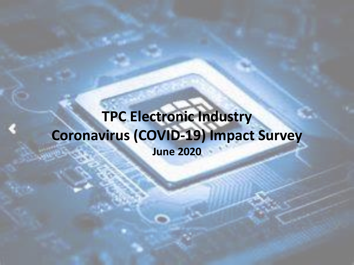## **TPC Electronic Industry Coronavirus (COVID-19) Impact Survey June 2020**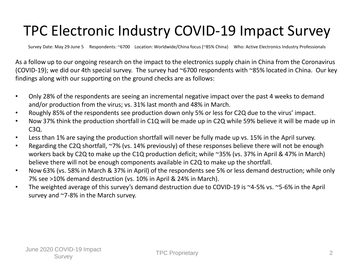## TPC Electronic Industry COVID-19 Impact Survey

Survey Date: May 29-June 5 Respondents: ~6700 Location: Worldwide/China focus (~85% China) Who: Active Electronics Industry Professionals

As a follow up to our ongoing research on the impact to the electronics supply chain in China from the Coronavirus (COVID-19); we did our 4th special survey. The survey had ~6700 respondents with ~85% located in China. Our key findings along with our supporting on the ground checks are as follows:

- Only 28% of the respondents are seeing an incremental negative impact over the past 4 weeks to demand and/or production from the virus; vs. 31% last month and 48% in March.
- Roughly 85% of the respondents see production down only 5% or less for C2Q due to the virus' impact.
- Now 37% think the production shortfall in C1Q will be made up in C2Q while 59% believe it will be made up in C3Q.
- Less than 1% are saying the production shortfall will never be fully made up vs. 15% in the April survey.
- Regarding the C2Q shortfall, ~7% (vs. 14% previously) of these responses believe there will not be enough workers back by C2Q to make up the C1Q production deficit; while ~35% (vs. 37% in April & 47% in March) believe there will not be enough components available in C2Q to make up the shortfall.
- Now 63% (vs. 58% in March & 37% in April) of the respondents see 5% or less demand destruction; while only 7% see >10% demand destruction (vs. 10% in April & 24% in March).
- The weighted average of this survey's demand destruction due to COVID-19 is ~4-5% vs. ~5-6% in the April survey and ~7-8% in the March survey.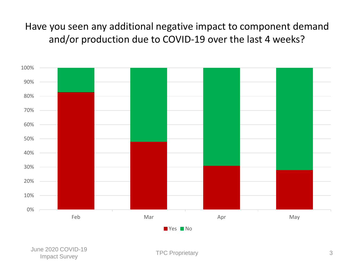Have you seen any additional negative impact to component demand and/or production due to COVID-19 over the last 4 weeks?

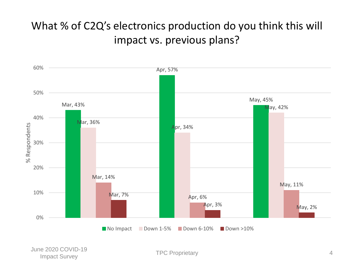### What % of C2Q's electronics production do you think this will impact vs. previous plans?

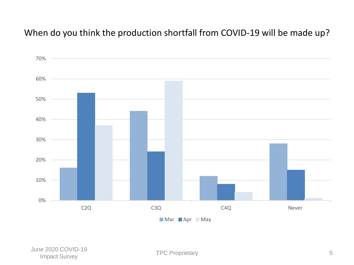#### When do you think the production shortfall from COVID-19 will be made up?

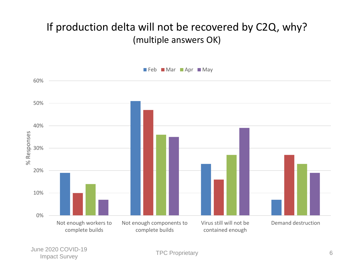### If production delta will not be recovered by C2Q, why? (multiple answers OK)



June 2020 COVID-19 Let the Contract Survey of the Contract Survey of the Contract Survey of the Contract Survey of the Contract Survey of the Contract Survey of the Contract Survey of the Contract Survey of the Contract Survey of the Contrac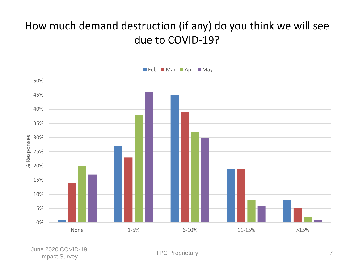### How much demand destruction (if any) do you think we will see due to COVID-19?



June 2020 COVID-19 Let the Contract Survey TPC Proprietary TPC Proprietary The Contract Survey The Contract Survey The Contract Survey The Contract Survey The Contract Survey The Contract Survey The Contract Survey The Contract Survey The Co